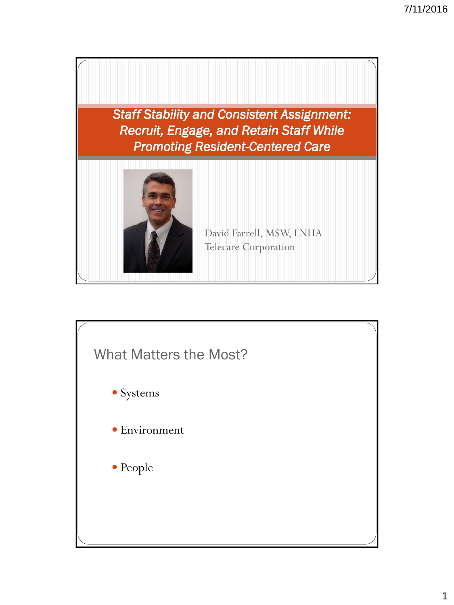

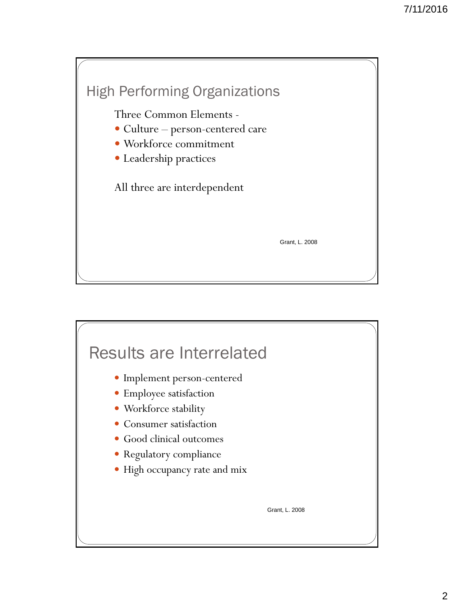

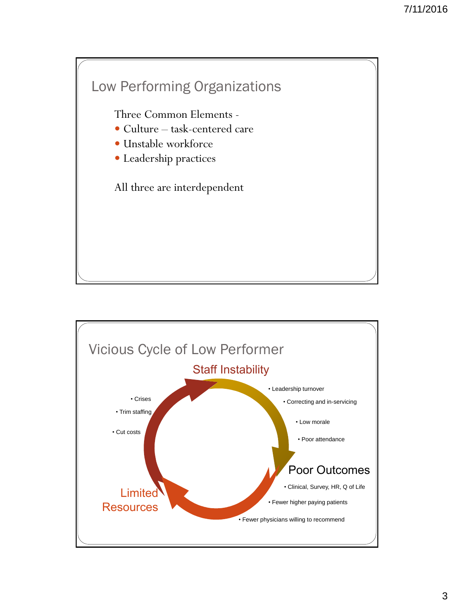

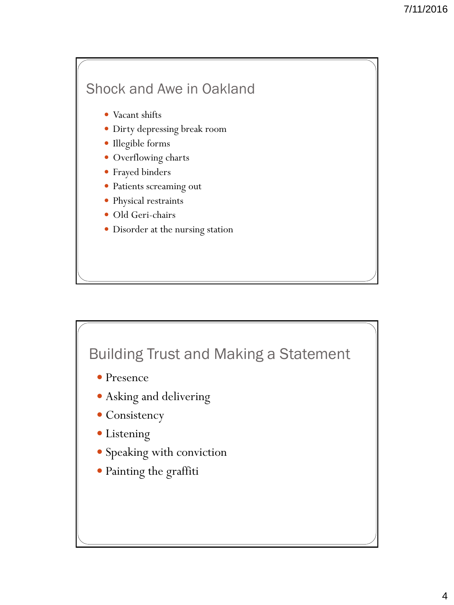## Shock and Awe in Oakland

- Vacant shifts
- Dirty depressing break room
- Illegible forms
- Overflowing charts
- Frayed binders
- Patients screaming out
- Physical restraints
- Old Geri-chairs
- Disorder at the nursing station

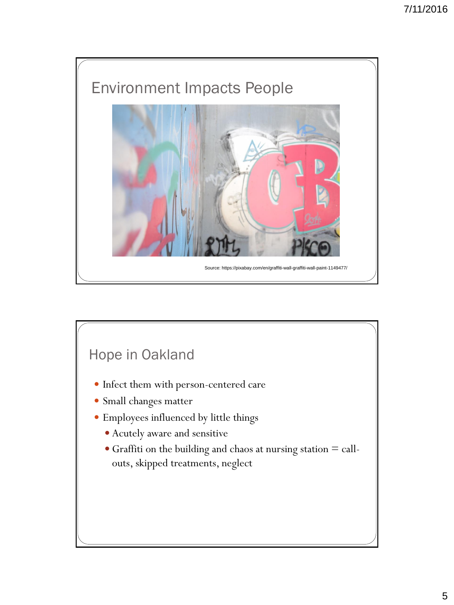

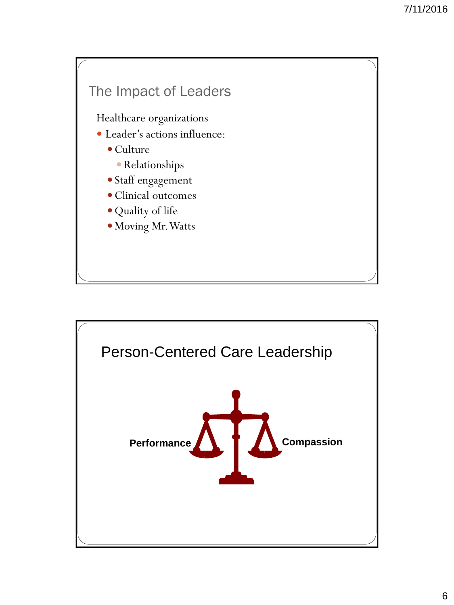#### The Impact of Leaders

Healthcare organizations

- Leader's actions influence:
	- Culture
		- Relationships
	- Staff engagement
	- Clinical outcomes
	- Quality of life
	- Moving Mr. Watts

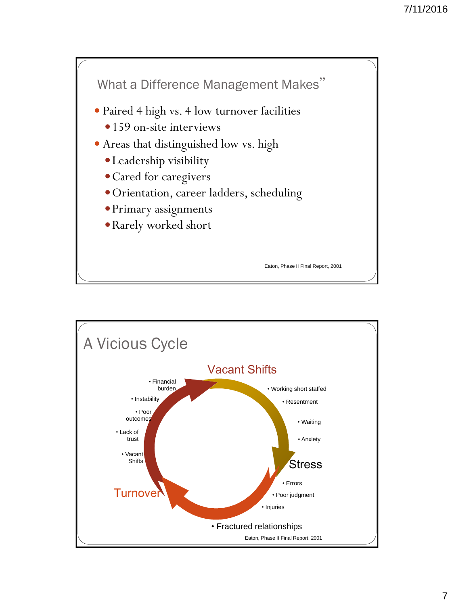

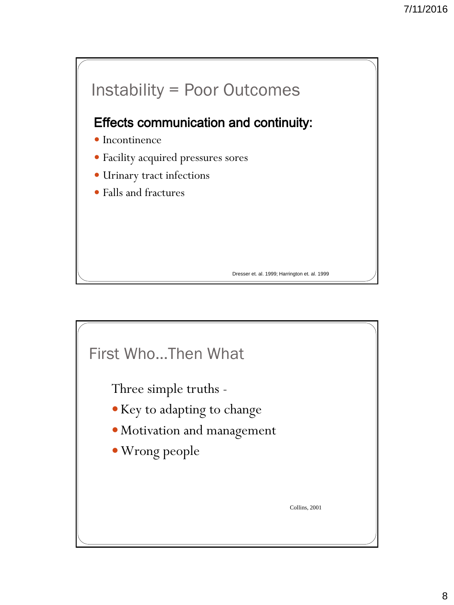

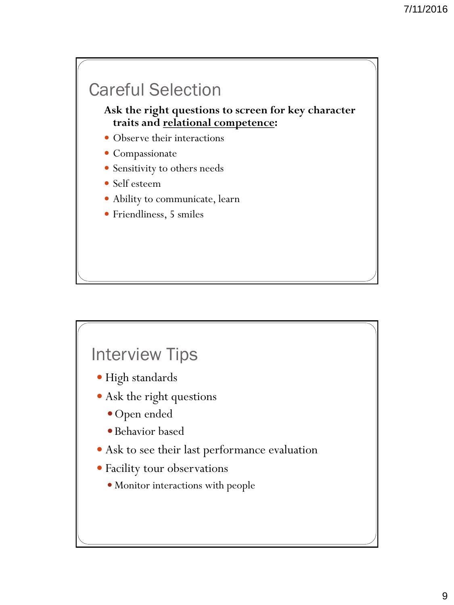# Careful Selection

**Ask the right questions to screen for key character traits and relational competence:**

- Observe their interactions
- Compassionate
- Sensitivity to others needs
- Self esteem
- Ability to communicate, learn
- Friendliness, 5 smiles

## Interview Tips

- High standards
- Ask the right questions
	- Open ended
	- Behavior based
- Ask to see their last performance evaluation
- Facility tour observations
	- Monitor interactions with people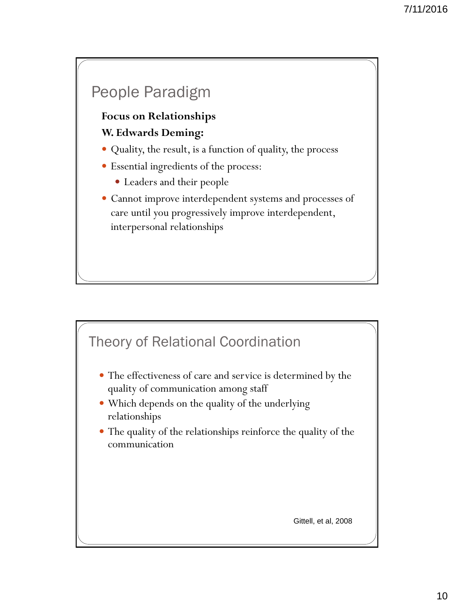## People Paradigm

#### **Focus on Relationships W. Edwards Deming:**

- Quality, the result, is a function of quality, the process
- Essential ingredients of the process:
	- Leaders and their people
- Cannot improve interdependent systems and processes of care until you progressively improve interdependent, interpersonal relationships

### Theory of Relational Coordination

- The effectiveness of care and service is determined by the quality of communication among staff
- Which depends on the quality of the underlying relationships
- The quality of the relationships reinforce the quality of the communication

Gittell, et al, 2008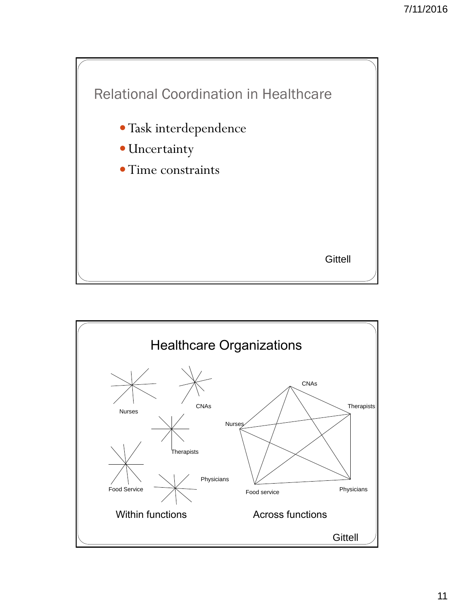

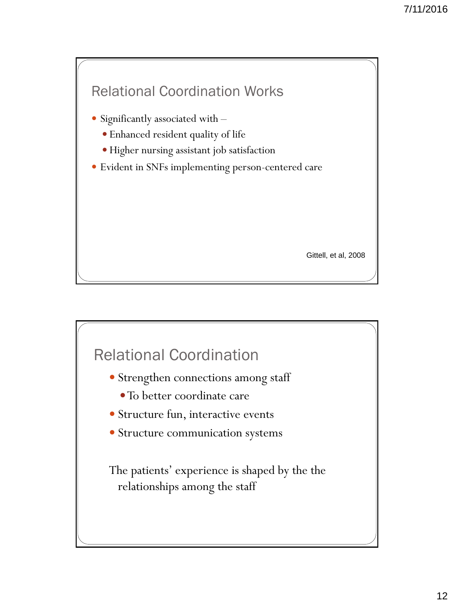

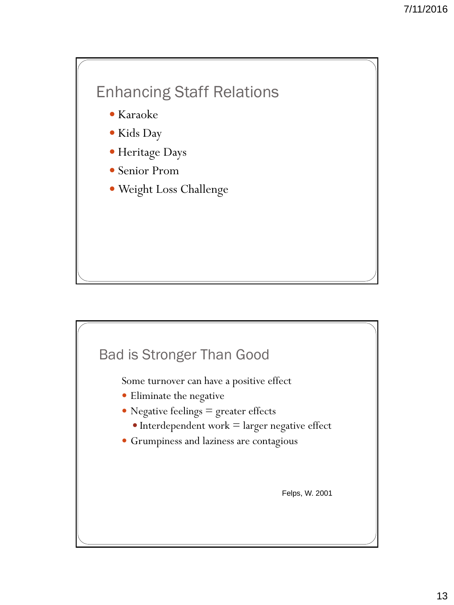## Enhancing Staff Relations

- Karaoke
- Kids Day
- Heritage Days
- Senior Prom
- Weight Loss Challenge

## Bad is Stronger Than Good

Some turnover can have a positive effect

- Eliminate the negative
- Negative feelings = greater effects
	- $\bullet$  Interdependent work  $=$  larger negative effect
- Grumpiness and laziness are contagious

Felps, W. 2001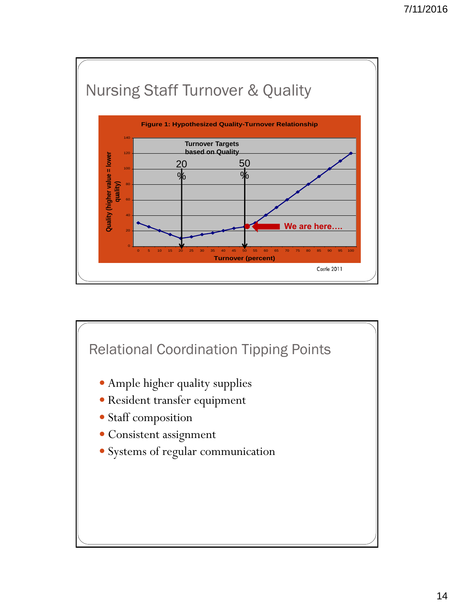

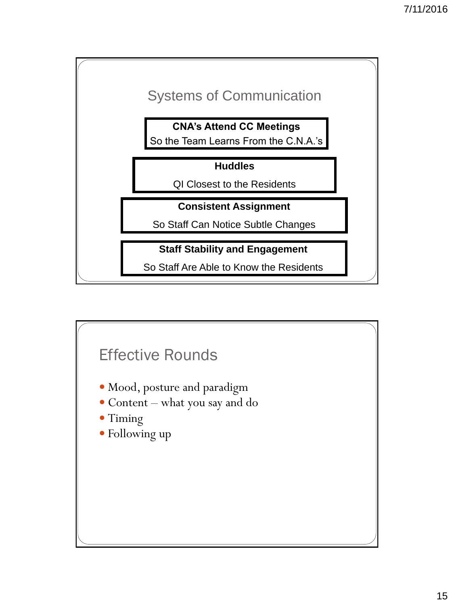

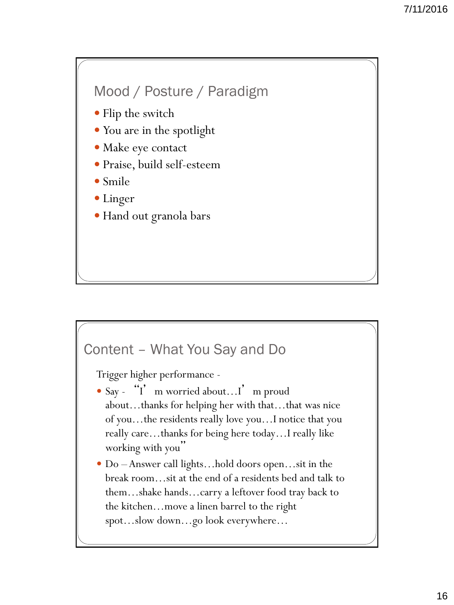

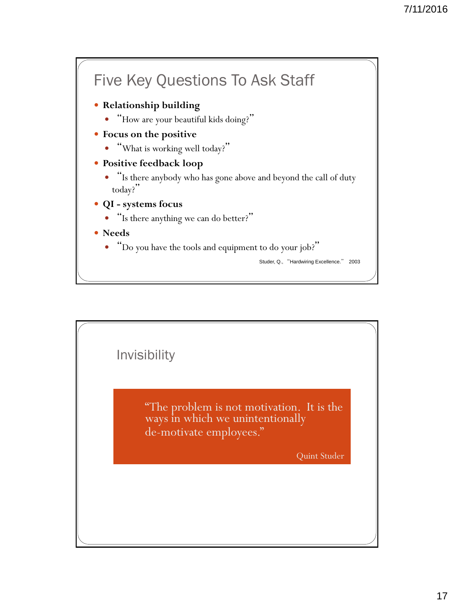

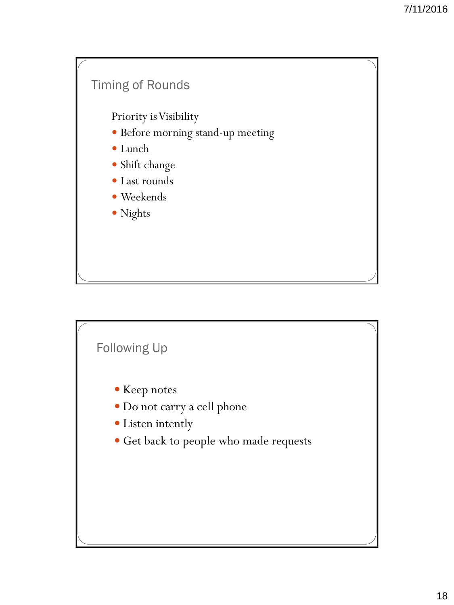

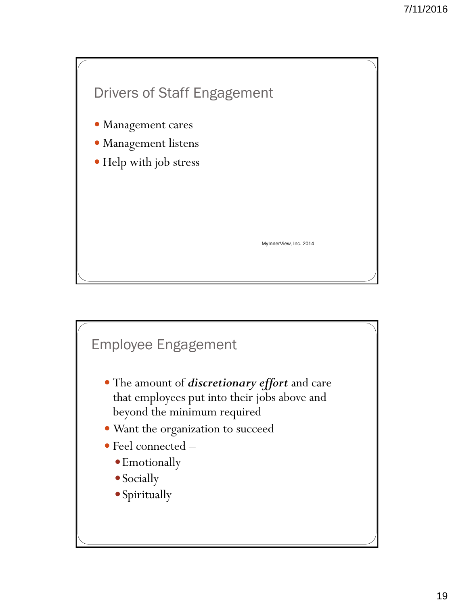

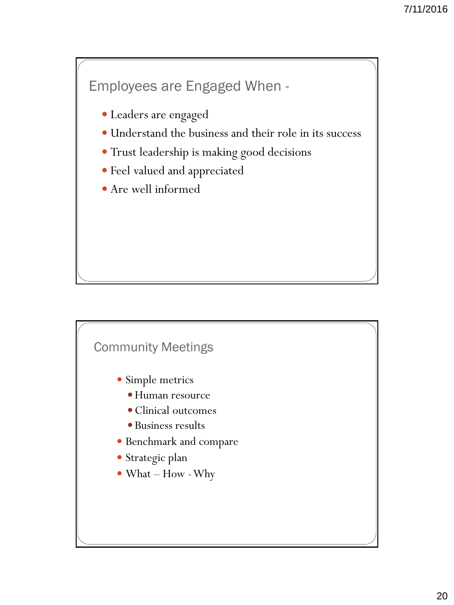#### Employees are Engaged When -

- Leaders are engaged
- Understand the business and their role in its success
- Trust leadership is making good decisions
- Feel valued and appreciated
- Are well informed

#### Community Meetings

- Simple metrics
	- Human resource
	- Clinical outcomes
	- Business results
- Benchmark and compare
- Strategic plan
- What How -Why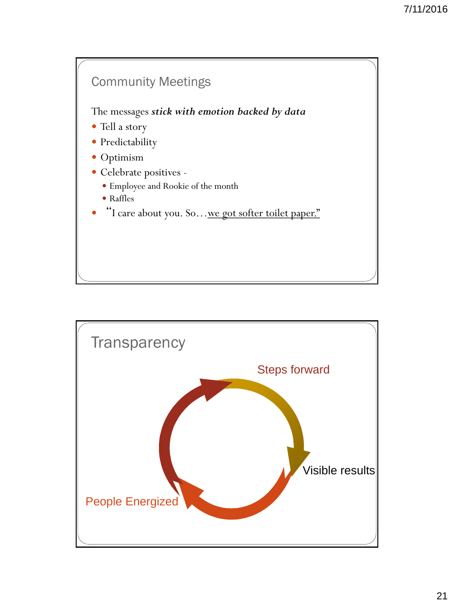